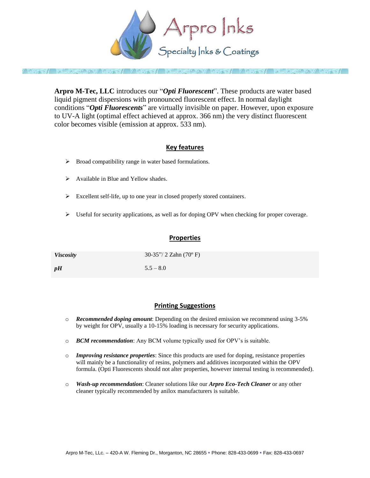

**Arpro M-Tec, LLC** introduces our "*Opti Fluorescent*". These products are water based liquid pigment dispersions with pronounced fluorescent effect. In normal daylight conditions "*Opti Fluorescents*" are virtually invisible on paper. However, upon exposure to UV-A light (optimal effect achieved at approx. 366 nm) the very distinct fluorescent color becomes visible (emission at approx. 533 nm).

# **Key features**

- $\triangleright$  Broad compatibility range in water based formulations.
- $\triangleright$  Available in Blue and Yellow shades.
- Excellent self-life, up to one year in closed properly stored containers.
- $\triangleright$  Useful for security applications, as well as for doping OPV when checking for proper coverage.

#### **Properties**

| <i>Viscosity</i> | $30-35''/2$ Zahn (70°F) |
|------------------|-------------------------|
| pH               | $5.5 - 8.0$             |

## **Printing Suggestions**

- o *Recommended doping amount*: Depending on the desired emission we recommend using 3-5% by weight for OPV, usually a 10-15% loading is necessary for security applications.
- o *BCM recommendation*: Any BCM volume typically used for OPV's is suitable.
- o *Improving resistance properties*: Since this products are used for doping, resistance properties will mainly be a functionality of resins, polymers and additives incorporated within the OPV formula. (Opti Fluorescents should not alter properties, however internal testing is recommended).
- o *Wash-up recommendation*: Cleaner solutions like our *Arpro Eco-Tech Cleaner* or any other cleaner typically recommended by anilox manufacturers is suitable.